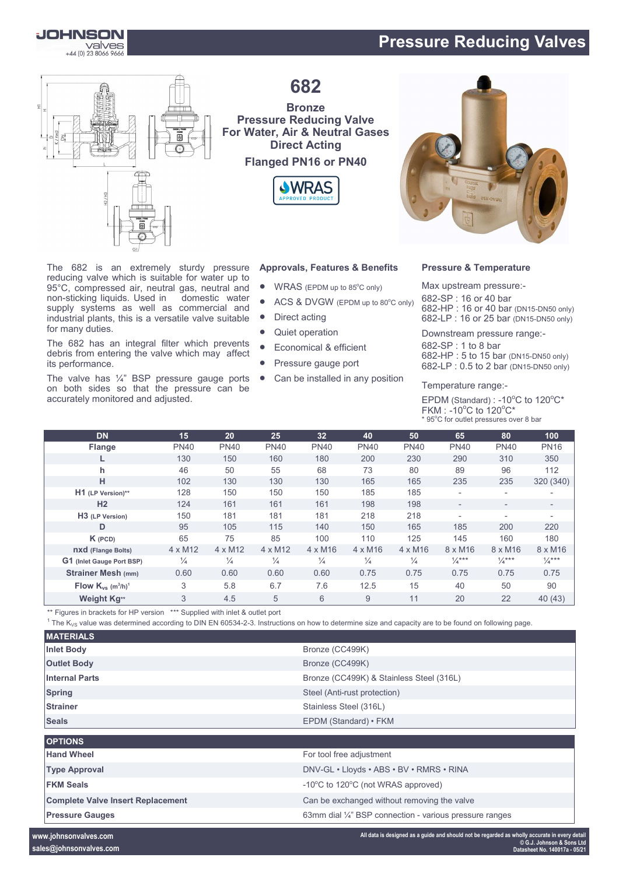# **Pressure Reducing Valves**



for many duties.

its performance.



The 682 is an extremely sturdy pressure reducing valve which is suitable for water up to 95°C, compressed air, neutral gas, neutral and non-sticking liquids. Used in domestic water supply systems as well as commercial and industrial plants, this is a versatile valve suitable

The 682 has an integral filter which prevents debris from entering the valve which may affect

The valve has  $\frac{1}{4}$ " BSP pressure gauge ports on both sides so that the pressure can be

accurately monitored and adjusted.

**682**

### **Bronze Pressure Reducing Valve For Water, Air & Neutral Gases Direct Acting Flanged PN16 or PN40**





- $\bullet$  WRAS (EPDM up to 85 $^{\circ}$ C only)
- ACS & DVGW (EPDM up to 80°C only)
- Direct acting
- Quiet operation
- Economical & efficient
- Pressure gauge port
- Can be installed in any position



#### **Pressure & Temperature**

Max upstream pressure:- -SP : 16 or 40 bar -HP : 16 or 40 bar (DN15-DN50 only) -LP : 16 or 25 bar (DN15-DN50 only)

Downstream pressure range:-

682-SP : 1 to 8 bar 682-HP : 5 to 15 bar (DN15-DN50 only) 682-LP : 0.5 to 2 bar (DN15-DN50 only)

Temperature range:-

EPDM (Standard) : -10 $^{\circ}$ C to 120 $^{\circ}$ C\* FKM : -10 $^{\circ}$ C to 120 $^{\circ}$ C\* \* 95°C for outlet pressures over 8 bar

| <b>DN</b>                                      | 15             | 20             | 25             | 32             | 40             | 50             | 65                       | 80                       | 100                      |
|------------------------------------------------|----------------|----------------|----------------|----------------|----------------|----------------|--------------------------|--------------------------|--------------------------|
| <b>Flange</b>                                  | <b>PN40</b>    | <b>PN40</b>    | <b>PN40</b>    | <b>PN40</b>    | <b>PN40</b>    | <b>PN40</b>    | <b>PN40</b>              | <b>PN40</b>              | <b>PN16</b>              |
|                                                | 130            | 150            | 160            | 180            | 200            | 230            | 290                      | 310                      | 350                      |
| h.                                             | 46             | 50             | 55             | 68             | 73             | 80             | 89                       | 96                       | 112                      |
| н                                              | 102            | 130            | 130            | 130            | 165            | 165            | 235                      | 235                      | 320 (340)                |
| H1 (LP Version)**                              | 128            | 150            | 150            | 150            | 185            | 185            | $\overline{\phantom{a}}$ | $\overline{\phantom{a}}$ |                          |
| H <sub>2</sub>                                 | 124            | 161            | 161            | 161            | 198            | 198            | $\overline{\phantom{a}}$ | $\overline{\phantom{a}}$ | $\overline{\phantom{0}}$ |
| H <sub>3</sub> (LP Version)                    | 150            | 181            | 181            | 181            | 218            | 218            |                          | $\overline{\phantom{a}}$ |                          |
| D                                              | 95             | 105            | 115            | 140            | 150            | 165            | 185                      | 200                      | 220                      |
| $K$ (PCD)                                      | 65             | 75             | 85             | 100            | 110            | 125            | 145                      | 160                      | 180                      |
| <b>nxd</b> (Flange Bolts)                      | $4 \times M12$ | $4 \times M12$ | $4 \times M12$ | $4 \times M16$ | $4 \times M16$ | $4 \times M16$ | $8 \times M16$           | $8 \times M16$           | 8 x M16                  |
| G1 (Inlet Gauge Port BSP)                      | $\frac{1}{4}$  | $\frac{1}{4}$  | $\frac{1}{4}$  | $\frac{1}{4}$  | $\frac{1}{4}$  | $\frac{1}{4}$  | $\frac{1}{4}$ ***        | $\frac{1}{4}$ ***        | $\frac{1}{4}$ ***        |
| <b>Strainer Mesh (mm)</b>                      | 0.60           | 0.60           | 0.60           | 0.60           | 0.75           | 0.75           | 0.75                     | 0.75                     | 0.75                     |
| Flow $K_{vs}$ (m <sup>3</sup> /h) <sup>1</sup> | 3              | 5.8            | 6.7            | 7.6            | 12.5           | 15             | 40                       | 50                       | 90                       |
| Weight Kg**                                    | 3              | 4.5            | 5              | 6              | 9              | 11             | 20                       | 22                       | 40 (43)                  |

\*\* Figures in brackets for HP version \*\*\* Supplied with inlet & outlet port

 $^1$  The K<sub>VS</sub> value was determined according to DIN EN 60534-2-3. Instructions on how to determine size and capacity are to be found on following page.

| <b>MATERIALS</b>                         |                                                                    |
|------------------------------------------|--------------------------------------------------------------------|
| <b>Inlet Body</b>                        | Bronze (CC499K)                                                    |
| <b>Outlet Body</b>                       | Bronze (CC499K)                                                    |
| <b>Internal Parts</b>                    | Bronze (CC499K) & Stainless Steel (316L)                           |
| <b>Spring</b>                            | Steel (Anti-rust protection)                                       |
| <b>Strainer</b>                          | Stainless Steel (316L)                                             |
| <b>Seals</b>                             | EPDM (Standard) • FKM                                              |
|                                          |                                                                    |
| <b>OPTIONS</b>                           |                                                                    |
| <b>Hand Wheel</b>                        | For tool free adjustment                                           |
| <b>Type Approval</b>                     | DNV-GL · Lloyds · ABS · BV · RMRS · RINA                           |
| <b>FKM Seals</b>                         | -10°C to 120°C (not WRAS approved)                                 |
| <b>Complete Valve Insert Replacement</b> | Can be exchanged without removing the valve                        |
| <b>Pressure Gauges</b>                   | 63mm dial $\frac{1}{4}$ " BSP connection - various pressure ranges |